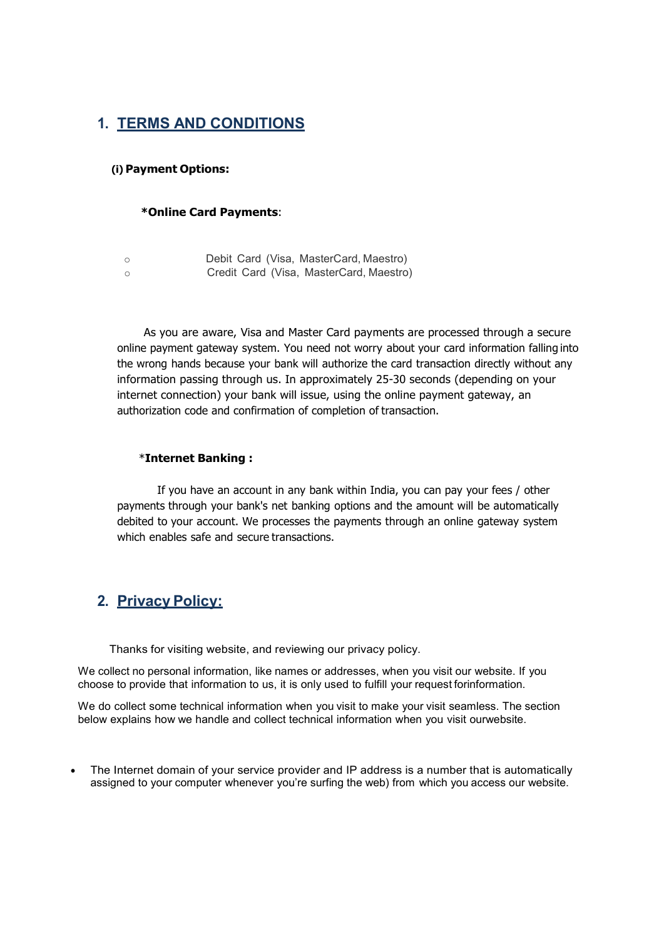# 1. TERMS AND CONDITIONS

## (i) Payment Options:

#### \*Online Card Payments:

| - 0 | Debit Card (Visa, MasterCard, Maestro)  |
|-----|-----------------------------------------|
| ◯   | Credit Card (Visa, MasterCard, Maestro) |

As you are aware, Visa and Master Card payments are processed through a secure online payment gateway system. You need not worry about your card information falling into the wrong hands because your bank will authorize the card transaction directly without any information passing through us. In approximately 25-30 seconds (depending on your internet connection) your bank will issue, using the online payment gateway, an authorization code and confirmation of completion of transaction.

#### \*Internet Banking :

If you have an account in any bank within India, you can pay your fees / other payments through your bank's net banking options and the amount will be automatically debited to your account. We processes the payments through an online gateway system which enables safe and secure transactions.

## 2. Privacy Policy:

Thanks for visiting website, and reviewing our privacy policy.

We collect no personal information, like names or addresses, when you visit our website. If you choose to provide that information to us, it is only used to fulfill your request forinformation.

We do collect some technical information when you visit to make your visit seamless. The section below explains how we handle and collect technical information when you visit ourwebsite.

 The Internet domain of your service provider and IP address is a number that is automatically assigned to your computer whenever you're surfing the web) from which you access our website.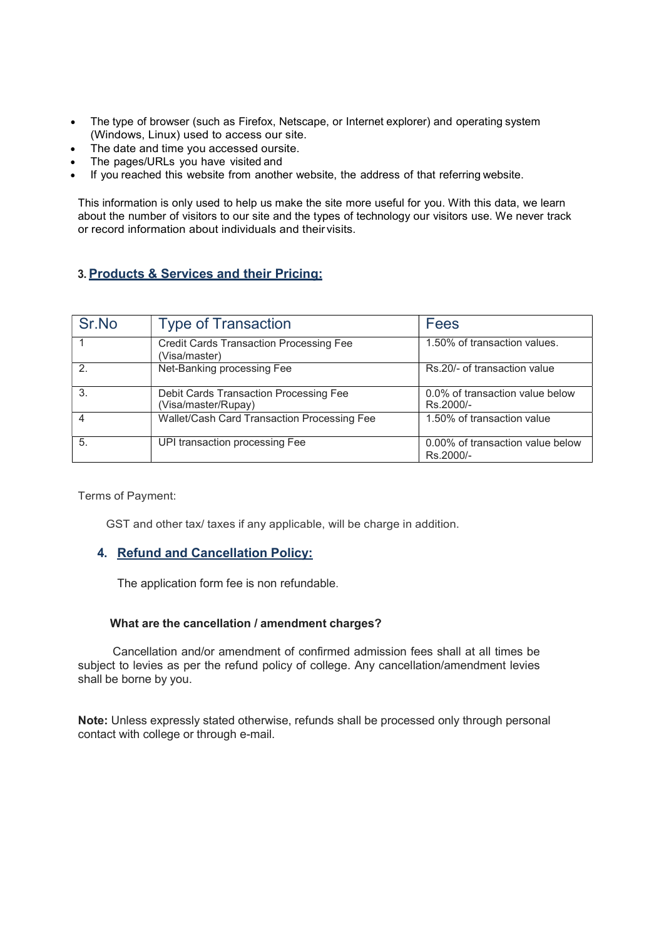- The type of browser (such as Firefox, Netscape, or Internet explorer) and operating system (Windows, Linux) used to access our site.
- The date and time you accessed oursite.
- The pages/URLs you have visited and
- If you reached this website from another website, the address of that referring website.

This information is only used to help us make the site more useful for you. With this data, we learn about the number of visitors to our site and the types of technology our visitors use. We never track or record information about individuals and their visits.

## 3. Products & Services and their Pricing:

| Sr.No        | <b>Type of Transaction</b>                                      | Fees                                          |
|--------------|-----------------------------------------------------------------|-----------------------------------------------|
|              | <b>Credit Cards Transaction Processing Fee</b><br>(Visa/master) | 1.50% of transaction values.                  |
| 2            | Net-Banking processing Fee                                      | Rs.20/- of transaction value                  |
| $\mathbf{3}$ | Debit Cards Transaction Processing Fee<br>(Visa/master/Rupay)   | 0.0% of transaction value below<br>Rs.2000/-  |
| 4            | Wallet/Cash Card Transaction Processing Fee                     | 1.50% of transaction value                    |
| 5.           | UPI transaction processing Fee                                  | 0.00% of transaction value below<br>Rs.2000/- |

Terms of Payment:

GST and other tax/ taxes if any applicable, will be charge in addition.

## 4. Refund and Cancellation Policy:

The application form fee is non refundable.

#### What are the cancellation / amendment charges?

Cancellation and/or amendment of confirmed admission fees shall at all times be subject to levies as per the refund policy of college. Any cancellation/amendment levies shall be borne by you.

Note: Unless expressly stated otherwise, refunds shall be processed only through personal contact with college or through e-mail.